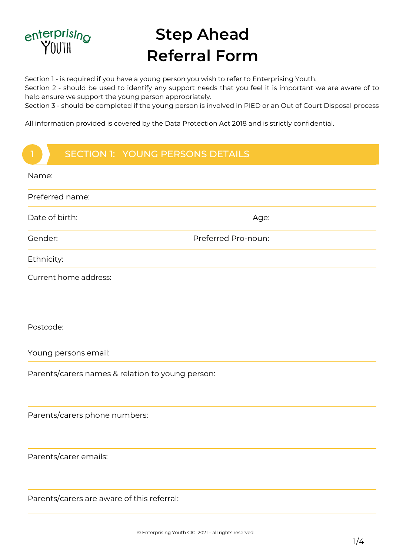

1

# **Step Ahead Referral Form**

Section 1 - is required if you have a young person you wish to refer to Enterprising Youth.

Section 2 - should be used to identify any support needs that you feel it is important we are aware of to help ensure we support the young person appropriately.

Section 3 - should be completed if the young person is involved in PIED or an Out of Court Disposal process

SECTION 1: YOUNG PERSON DETAILS All information provided is covered by the Data Protection Act 2018 and is strictly confidential.

# SECTION 1: YOUNG PERSONS DETAILS

| Name:                                            |                     |  |
|--------------------------------------------------|---------------------|--|
| Preferred name:                                  |                     |  |
| Date of birth:                                   | Age:                |  |
| Gender:                                          | Preferred Pro-noun: |  |
| Ethnicity:                                       |                     |  |
| Current home address:                            |                     |  |
|                                                  |                     |  |
| Postcode:                                        |                     |  |
| Young persons email:                             |                     |  |
| Parents/carers names & relation to young person: |                     |  |
|                                                  |                     |  |
| Parents/carers phone numbers:                    |                     |  |
|                                                  |                     |  |
| Parents/carer emails:                            |                     |  |
|                                                  |                     |  |
| Parents/carers are aware of this referral:       |                     |  |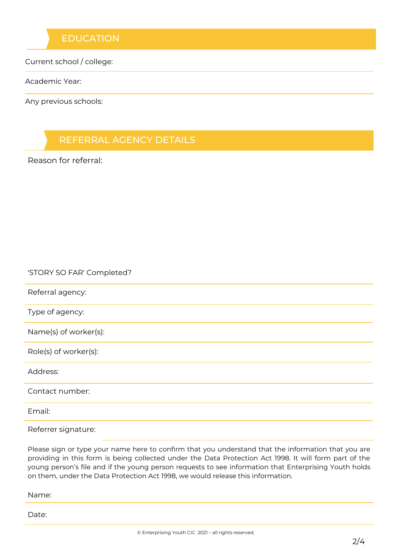## **EDUCATION**

Current school / college:

Academic Year:

Any previous schools:

## REFERRAL AGENCY DETAILS

Reason for referral:

#### 'STORY SO FAR' Completed?

Referral agency:

Type of agency:

Name(s) of worker(s):

Role(s) of worker(s):

Address:

Contact number:

Email:

Referrer signature:

Please sign or type your name here to confirm that you understand that the information that you are providing in this form is being collected under the Data Protection Act 1998. It will form part of the young person's file and if the young person requests to see information that Enterprising Youth holds on them, under the Data Protection Act 1998, we would release this information.

Name:

Date: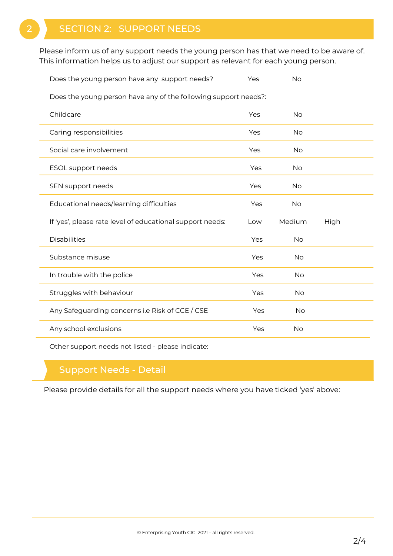# SECTION 2: SUPPORT NEEDS

Please inform us of any support needs the young person has that we need to be aware of. This information helps us to adjust our support as relevant for each young person.

Does the young person have any support needs? Yes Yes No

Does the young person have any of the following support needs?:

| Childcare                                                 | Yes | <b>No</b> |      |  |
|-----------------------------------------------------------|-----|-----------|------|--|
| Caring responsibilities                                   | Yes | <b>No</b> |      |  |
| Social care involvement                                   | Yes | No        |      |  |
| ESOL support needs                                        | Yes | No        |      |  |
| SEN support needs                                         | Yes | <b>No</b> |      |  |
| Educational needs/learning difficulties                   | Yes | No        |      |  |
| If 'yes', please rate level of educational support needs: | Low | Medium    | High |  |
|                                                           |     |           |      |  |
| <b>Disabilities</b>                                       | Yes | No        |      |  |
| Substance misuse                                          | Yes | No        |      |  |
| In trouble with the police                                | Yes | <b>No</b> |      |  |
| Struggles with behaviour                                  | Yes | No        |      |  |
| Any Safeguarding concerns i.e Risk of CCE / CSE           | Yes | <b>No</b> |      |  |

Other support needs not listed - please indicate:

### Support Needs - Detail

Please provide details for all the support needs where you have ticked 'yes' above: